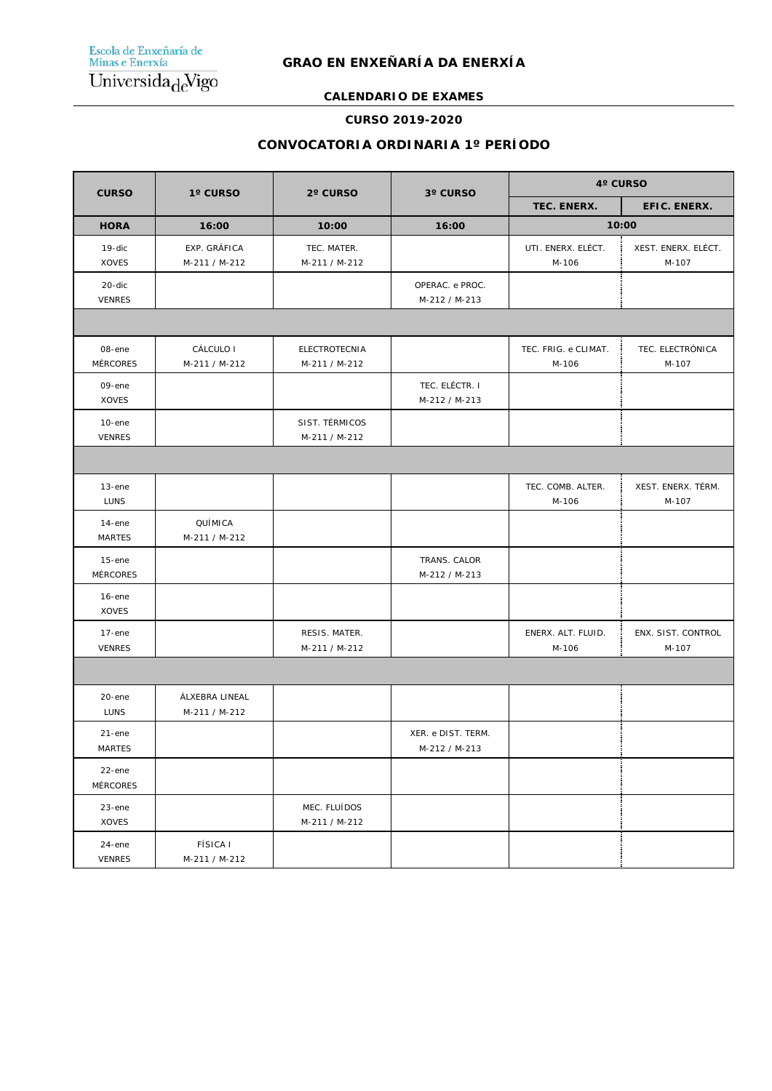# **CALENDARIO DE EXAMES**

#### **CURSO 2019-2020**

# **CONVOCATORIA ORDINARIA 1º PERÍODO**

| <b>CURSO</b>                 | 1° CURSO                         | 2° CURSO                        | 3° CURSO                            | 4° CURSO                      |                              |  |
|------------------------------|----------------------------------|---------------------------------|-------------------------------------|-------------------------------|------------------------------|--|
|                              |                                  |                                 |                                     | TEC. ENERX.                   | EFIC. ENERX.                 |  |
| <b>HORA</b>                  | 16:00                            | 10:00                           | 16:00                               | 10:00                         |                              |  |
| 19-dic<br>XOVES              | EXP. GRÁFICA<br>M-211 / M-212    | TEC. MATER.<br>M-211 / M-212    |                                     | UTI. ENERX. ELÉCT.<br>M-106   | XEST. ENERX. ELÉCT.<br>M-107 |  |
| 20-dic<br><b>VENRES</b>      |                                  |                                 | OPERAC. e PROC.<br>M-212 / M-213    |                               |                              |  |
|                              |                                  |                                 |                                     |                               |                              |  |
| 08-ene<br><b>MÉRCORES</b>    | CÁLCULO I<br>M-211 / M-212       | ELECTROTECNIA<br>M-211 / M-212  |                                     | TEC. FRIG. e CLIMAT.<br>M-106 | TEC. ELECTRÓNICA<br>M-107    |  |
| 09-ene<br><b>XOVES</b>       |                                  |                                 | TEC. ELÉCTR. I<br>M-212 / M-213     |                               |                              |  |
| $10$ -ene<br><b>VENRES</b>   |                                  | SIST. TÉRMICOS<br>M-211 / M-212 |                                     |                               |                              |  |
|                              |                                  |                                 |                                     |                               |                              |  |
| $13$ -ene<br><b>LUNS</b>     |                                  |                                 |                                     | TEC. COMB. ALTER.<br>M-106    | XEST. ENERX. TÉRM.<br>M-107  |  |
| $14$ -ene<br><b>MARTES</b>   | QUÍMICA<br>M-211 / M-212         |                                 |                                     |                               |                              |  |
| $15$ -ene<br><b>MÉRCORES</b> |                                  |                                 | TRANS. CALOR<br>M-212 / M-213       |                               |                              |  |
| $16$ -ene<br><b>XOVES</b>    |                                  |                                 |                                     |                               |                              |  |
| $17$ -ene<br><b>VENRES</b>   |                                  | RESIS. MATER.<br>M-211 / M-212  |                                     | ENERX. ALT. FLUID.<br>M-106   | ENX. SIST. CONTROL<br>M-107  |  |
|                              |                                  |                                 |                                     |                               |                              |  |
| 20-ene<br><b>LUNS</b>        | ÁLXEBRA LINEAL<br>M-211 / M-212  |                                 |                                     |                               |                              |  |
| $21$ -ene<br><b>MARTES</b>   |                                  |                                 | XER. e DIST. TERM.<br>M-212 / M-213 |                               |                              |  |
| 22-ene<br><b>MÉRCORES</b>    |                                  |                                 |                                     |                               |                              |  |
| $23$ -ene<br><b>XOVES</b>    |                                  | MEC. FLUÍDOS<br>M-211 / M-212   |                                     |                               |                              |  |
| 24-ene<br><b>VENRES</b>      | <b>FÍSICA I</b><br>M-211 / M-212 |                                 |                                     |                               |                              |  |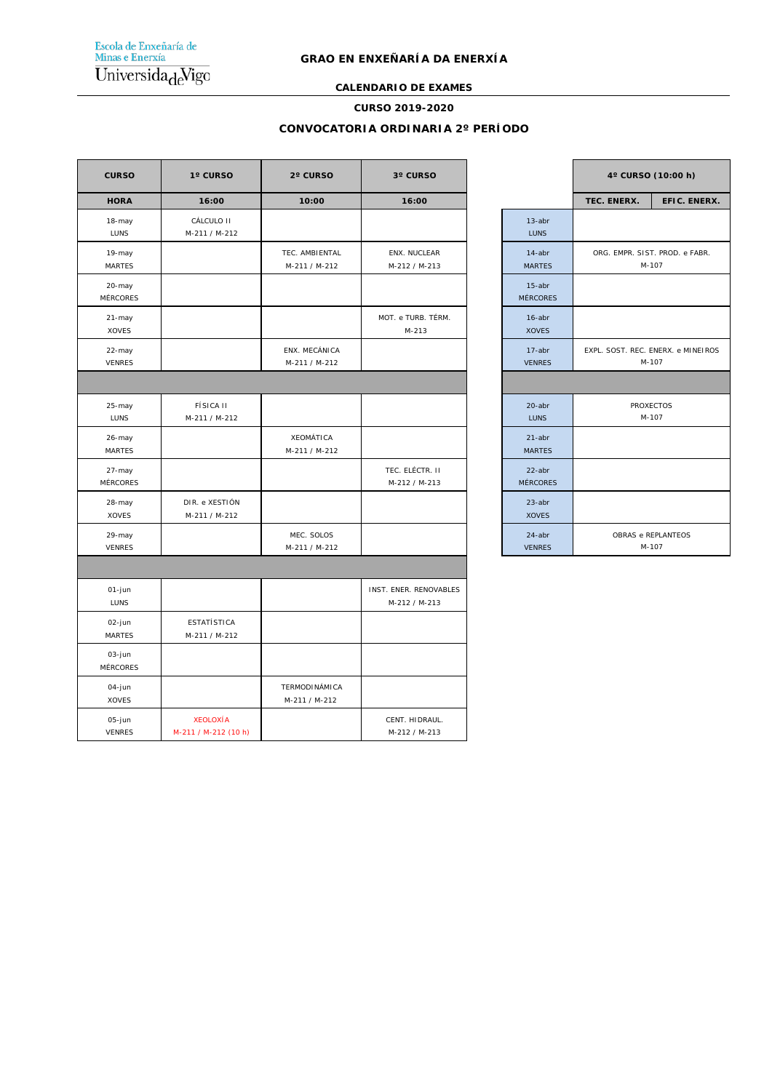Escola de Enxeñaría de<br>Minas e Enerxía  $\overline{\text{Universala}_{\text{d}}\text{Vigo}}$ 

#### **GRAO EN ENXEÑARÍA DA ENERXÍA**

# **CALENDARIO DE EXAMES**

#### **CURSO 2019-2020**

#### **CONVOCATORIA ORDINARIA 2º PERÍODO**

| <b>CURSO</b>              | 1° CURSO                                | 2° CURSO                              | 3° CURSO                                |                              |             | 4° CURSO (10:00 h)                          |
|---------------------------|-----------------------------------------|---------------------------------------|-----------------------------------------|------------------------------|-------------|---------------------------------------------|
| <b>HORA</b>               | 16:00                                   | 10:00                                 | 16:00                                   |                              | TEC. ENERX. | EFIC. ENERX.                                |
| 18-may<br><b>LUNS</b>     | CÁLCULO II<br>M-211 / M-212             |                                       |                                         | $13$ -abr<br><b>LUNS</b>     |             |                                             |
| 19-may<br><b>MARTES</b>   |                                         | TEC. AMBIENTAL<br>M-211 / M-212       | ENX. NUCLEAR<br>M-212 / M-213           | 14-abr<br><b>MARTES</b>      |             | ORG. EMPR. SIST. PROD. e FABR.<br>M-107     |
| 20-may<br><b>MÉRCORES</b> |                                         |                                       |                                         | $15$ -abr<br><b>MÉRCORES</b> |             |                                             |
| 21-may<br>XOVES           |                                         |                                       | MOT. e TURB. TÉRM.<br>$M-213$           | $16$ -abr<br><b>XOVES</b>    |             |                                             |
| 22-may<br><b>VENRES</b>   |                                         | ENX. MECÁNICA<br>M-211 / M-212        |                                         | 17-abr<br><b>VENRES</b>      |             | EXPL. SOST. REC. ENERX. e MINEIROS<br>M-107 |
|                           |                                         |                                       |                                         |                              |             |                                             |
| 25-may<br><b>LUNS</b>     | <b>FÍSICA II</b><br>M-211 / M-212       |                                       |                                         | 20-abr<br><b>LUNS</b>        |             | <b>PROXECTOS</b><br>M-107                   |
| 26-may<br><b>MARTES</b>   |                                         | <b>XEOMÁTICA</b><br>M-211 / M-212     |                                         | $21$ -abr<br><b>MARTES</b>   |             |                                             |
| 27-may<br><b>MÉRCORES</b> |                                         |                                       | TEC. ELÉCTR. II<br>M-212 / M-213        | 22-abr<br><b>MÉRCORES</b>    |             |                                             |
| 28-may<br><b>XOVES</b>    | DIR. e XESTIÓN<br>M-211 / M-212         |                                       |                                         | $23$ -abr<br><b>XOVES</b>    |             |                                             |
| 29-may<br><b>VENRES</b>   |                                         | MEC. SOLOS<br>M-211 / M-212           |                                         | $24$ -abr<br><b>VENRES</b>   |             | OBRAS e REPLANTEOS<br>M-107                 |
|                           |                                         |                                       |                                         |                              |             |                                             |
| 01-jun<br>LUNS            |                                         |                                       | INST. ENER. RENOVABLES<br>M-212 / M-213 |                              |             |                                             |
| 02-jun<br><b>MARTES</b>   | <b>ESTATÍSTICA</b><br>M-211 / M-212     |                                       |                                         |                              |             |                                             |
| 03-jun<br><b>MÉRCORES</b> |                                         |                                       |                                         |                              |             |                                             |
| 04-jun<br><b>XOVES</b>    |                                         | <b>TERMODINÁMICA</b><br>M-211 / M-212 |                                         |                              |             |                                             |
| 05-jun<br><b>VENRES</b>   | <b>XEOLOXÍA</b><br>M-211 / M-212 (10 h) |                                       | CENT. HIDRAUL.<br>M-212 / M-213         |                              |             |                                             |

|                              | 4° CURSO (10:00 h)                          |              |  |  |
|------------------------------|---------------------------------------------|--------------|--|--|
|                              | TEC. ENERX.                                 | EFIC. ENERX. |  |  |
| $13$ -abr<br><b>LUNS</b>     |                                             |              |  |  |
| $14$ -abr<br><b>MARTES</b>   | ORG. EMPR. SIST. PROD. e FABR.<br>M-107     |              |  |  |
| $15$ -abr<br><b>MÉRCORES</b> |                                             |              |  |  |
| $16$ -abr<br><b>XOVES</b>    |                                             |              |  |  |
| $17$ -abr<br><b>VENRES</b>   | EXPL. SOST. REC. ENERX. e MINEIROS<br>M-107 |              |  |  |
|                              |                                             |              |  |  |
| $20$ -abr<br><b>LUNS</b>     | <b>PROXECTOS</b><br>M-107                   |              |  |  |
| $21$ -abr<br><b>MARTES</b>   |                                             |              |  |  |
| $22$ -abr<br><b>MÉRCORES</b> |                                             |              |  |  |
| $23$ -abr<br><b>XOVES</b>    |                                             |              |  |  |
| $24$ -abr<br><b>VENRES</b>   | OBRAS e REPLANTEOS<br>M-107                 |              |  |  |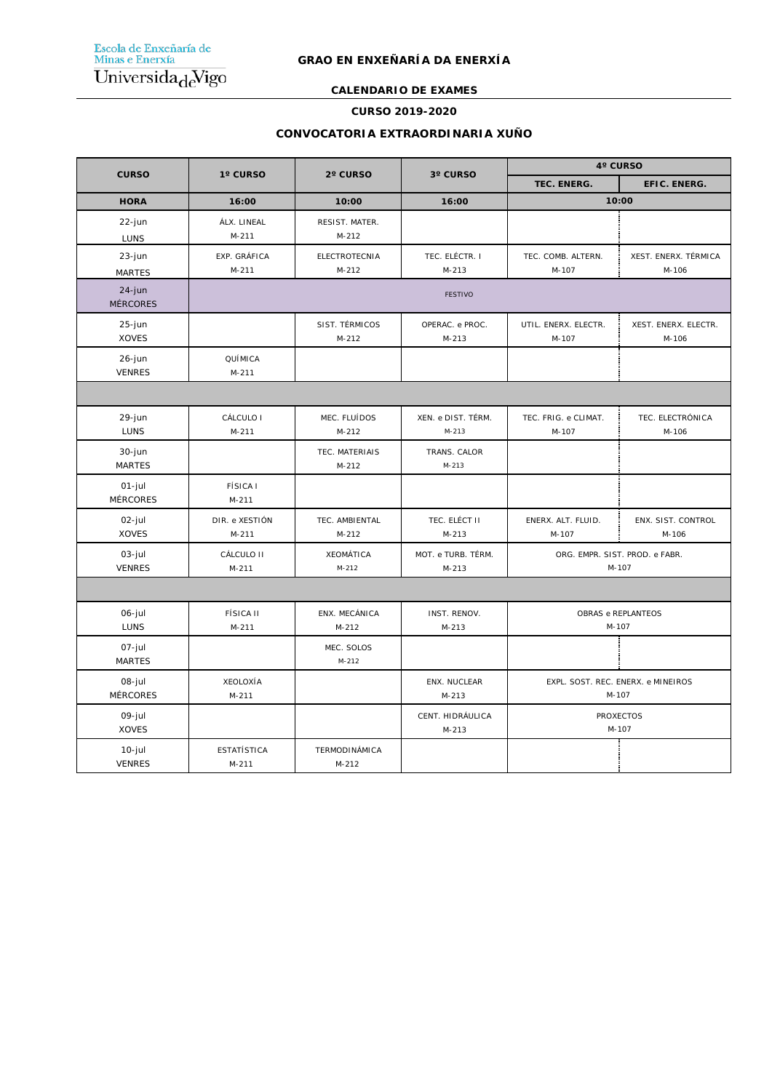**CALENDARIO DE EXAMES**

#### **CURSO 2019-2020**

### **CONVOCATORIA EXTRAORDINARIA XUÑO**

|                              | 1° CURSO                      | 2° CURSO                  | 3° CURSO                      | 4° CURSO                                    |                               |  |
|------------------------------|-------------------------------|---------------------------|-------------------------------|---------------------------------------------|-------------------------------|--|
| <b>CURSO</b>                 |                               |                           |                               | TEC. ENERG.                                 | EFIC. ENERG.                  |  |
| <b>HORA</b>                  | 16:00                         | 10:00                     | 16:00                         | 10:00                                       |                               |  |
| 22-jun<br>LUNS               | ÁLX. LINEAL<br>$M-211$        | RESIST. MATER.<br>$M-212$ |                               |                                             |                               |  |
| 23-jun<br><b>MARTES</b>      | EXP. GRÁFICA<br>$M-211$       | ELECTROTECNIA<br>$M-212$  | TEC. ELÉCTR. I<br>$M-213$     | TEC. COMB. ALTERN.<br>M-107                 | XEST. ENERX. TÉRMICA<br>M-106 |  |
| $24$ -jun<br><b>MÉRCORES</b> |                               |                           | <b>FESTIVO</b>                |                                             |                               |  |
| $25$ -jun<br><b>XOVES</b>    |                               | SIST. TÉRMICOS<br>$M-212$ | OPERAC. e PROC.<br>$M-213$    | UTIL. ENERX. ELECTR.<br>M-107               | XEST. ENERX. ELECTR.<br>M-106 |  |
| 26-jun<br><b>VENRES</b>      | QUÍMICA<br>$M-211$            |                           |                               |                                             |                               |  |
|                              |                               |                           |                               |                                             |                               |  |
| 29-jun<br>LUNS               | CÁLCULO I<br>$M-211$          | MEC. FLUÍDOS<br>$M-212$   | XEN. e DIST. TÉRM.<br>$M-213$ | TEC. FRIG. e CLIMAT.<br>M-107               | TEC. ELECTRÓNICA<br>M-106     |  |
| 30-jun<br><b>MARTES</b>      |                               | TEC. MATERIAIS<br>$M-212$ | TRANS. CALOR<br>$M - 213$     |                                             |                               |  |
| $01$ -jul<br><b>MÉRCORES</b> | <b>FÍSICA I</b><br>$M - 211$  |                           |                               |                                             |                               |  |
| 02-jul<br><b>XOVES</b>       | DIR. e XESTIÓN<br>$M-211$     | TEC. AMBIENTAL<br>$M-212$ | TEC. ELÉCT II<br>$M-213$      | ENERX. ALT. FLUID.<br>M-107                 | ENX. SIST. CONTROL<br>M-106   |  |
| $03$ -jul<br><b>VENRES</b>   | CÁLCULO II<br>$M-211$         | XEOMÁTICA<br>$M-212$      | MOT. e TURB. TÉRM.<br>$M-213$ | ORG. EMPR. SIST. PROD. e FABR.<br>M-107     |                               |  |
|                              |                               |                           |                               |                                             |                               |  |
| 06-jul<br><b>LUNS</b>        | <b>FÍSICA II</b><br>$M-211$   | ENX. MECÁNICA<br>$M-212$  | INST. RENOV.<br>$M - 213$     | OBRAS e REPLANTEOS<br>M-107                 |                               |  |
| 07-jul<br><b>MARTES</b>      |                               | MEC. SOLOS<br>$M-212$     |                               |                                             |                               |  |
| 08-jul<br><b>MÉRCORES</b>    | XEOLOXÍA<br>$M-211$           |                           | ENX. NUCLEAR<br>$M-213$       | EXPL. SOST. REC. ENERX. e MINEIROS<br>M-107 |                               |  |
| 09-jul<br><b>XOVES</b>       |                               |                           | CENT. HIDRÁULICA<br>$M-213$   | <b>PROXECTOS</b><br>M-107                   |                               |  |
| $10$ -jul<br><b>VENRES</b>   | <b>ESTATÍSTICA</b><br>$M-211$ | TERMODINÁMICA<br>$M-212$  |                               |                                             |                               |  |